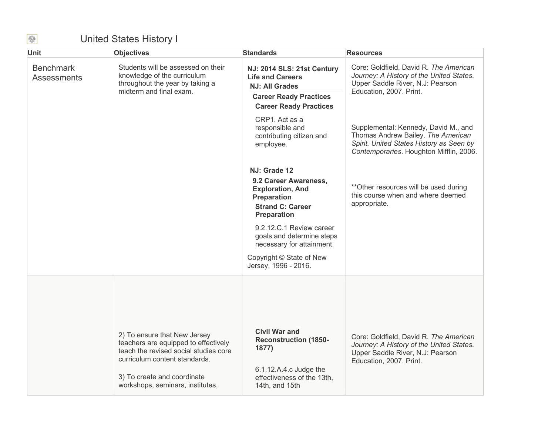## United States History I

| <b>Unit</b>                            | <b>Objectives</b>                                                                                                                                                                                                 | <b>Standards</b>                                                                                                                                                                                                                                                                  | <b>Resources</b>                                                                                                                                                  |
|----------------------------------------|-------------------------------------------------------------------------------------------------------------------------------------------------------------------------------------------------------------------|-----------------------------------------------------------------------------------------------------------------------------------------------------------------------------------------------------------------------------------------------------------------------------------|-------------------------------------------------------------------------------------------------------------------------------------------------------------------|
| <b>Benchmark</b><br><b>Assessments</b> | Students will be assessed on their<br>knowledge of the curriculum<br>throughout the year by taking a<br>midterm and final exam.                                                                                   | NJ: 2014 SLS: 21st Century<br><b>Life and Careers</b><br><b>NJ: All Grades</b><br><b>Career Ready Practices</b><br><b>Career Ready Practices</b>                                                                                                                                  | Core: Goldfield, David R. The American<br>Journey: A History of the United States.<br>Upper Saddle River, N.J: Pearson<br>Education, 2007. Print.                 |
|                                        |                                                                                                                                                                                                                   | CRP1. Act as a<br>responsible and<br>contributing citizen and<br>employee.                                                                                                                                                                                                        | Supplemental: Kennedy, David M., and<br>Thomas Andrew Bailey. The American<br>Spirit. United States History as Seen by<br>Contemporaries. Houghton Mifflin, 2006. |
|                                        |                                                                                                                                                                                                                   | NJ: Grade 12<br>9.2 Career Awareness,<br><b>Exploration, And</b><br><b>Preparation</b><br><b>Strand C: Career</b><br><b>Preparation</b><br>9.2.12.C.1 Review career<br>goals and determine steps<br>necessary for attainment.<br>Copyright © State of New<br>Jersey, 1996 - 2016. | ** Other resources will be used during<br>this course when and where deemed<br>appropriate.                                                                       |
|                                        | 2) To ensure that New Jersey<br>teachers are equipped to effectively<br>teach the revised social studies core<br>curriculum content standards.<br>3) To create and coordinate<br>workshops, seminars, institutes, | <b>Civil War and</b><br><b>Reconstruction (1850-</b><br>1877)<br>6.1.12.A.4.c Judge the<br>effectiveness of the 13th,<br>14th, and 15th                                                                                                                                           | Core: Goldfield, David R. The American<br>Journey: A History of the United States.<br>Upper Saddle River, N.J: Pearson<br>Education, 2007. Print.                 |

 $\bigcirc$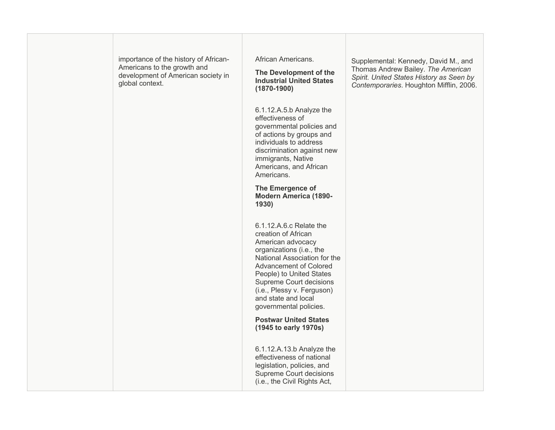| importance of the history of African-<br>Americans to the growth and<br>development of American society in<br>global context. | African Americans.<br>The Development of the<br><b>Industrial United States</b><br>$(1870 - 1900)$                                                                                                                                                                                              | Supplemental: Kennedy, David M., and<br>Thomas Andrew Bailey. The American<br>Spirit. United States History as Seen by<br>Contemporaries. Houghton Mifflin, 2006. |
|-------------------------------------------------------------------------------------------------------------------------------|-------------------------------------------------------------------------------------------------------------------------------------------------------------------------------------------------------------------------------------------------------------------------------------------------|-------------------------------------------------------------------------------------------------------------------------------------------------------------------|
|                                                                                                                               | 6.1.12.A.5.b Analyze the<br>effectiveness of<br>governmental policies and<br>of actions by groups and<br>individuals to address<br>discrimination against new<br>immigrants, Native<br>Americans, and African<br>Americans.                                                                     |                                                                                                                                                                   |
|                                                                                                                               | The Emergence of<br><b>Modern America (1890-</b><br>1930)                                                                                                                                                                                                                                       |                                                                                                                                                                   |
|                                                                                                                               | 6.1.12.A.6.c Relate the<br>creation of African<br>American advocacy<br>organizations (i.e., the<br>National Association for the<br>Advancement of Colored<br>People) to United States<br>Supreme Court decisions<br>(i.e., Plessy v. Ferguson)<br>and state and local<br>governmental policies. |                                                                                                                                                                   |
|                                                                                                                               | <b>Postwar United States</b><br>(1945 to early 1970s)                                                                                                                                                                                                                                           |                                                                                                                                                                   |
|                                                                                                                               | 6.1.12.A.13.b Analyze the<br>effectiveness of national<br>legislation, policies, and<br>Supreme Court decisions<br>(i.e., the Civil Rights Act,                                                                                                                                                 |                                                                                                                                                                   |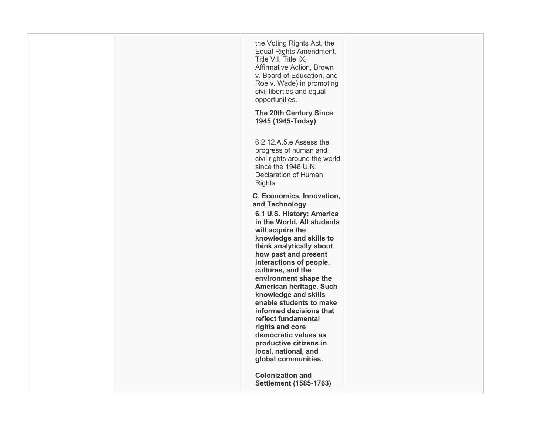|  | the Voting Rights Act, the<br>Equal Rights Amendment,<br>Title VII, Title IX,<br>Affirmative Action, Brown<br>v. Board of Education, and<br>Roe v. Wade) in promoting<br>civil liberties and equal<br>opportunities.<br><b>The 20th Century Since</b><br>1945 (1945-Today)                                                                                                                                                                                                                                                             |  |
|--|----------------------------------------------------------------------------------------------------------------------------------------------------------------------------------------------------------------------------------------------------------------------------------------------------------------------------------------------------------------------------------------------------------------------------------------------------------------------------------------------------------------------------------------|--|
|  | 6.2.12.A.5.e Assess the<br>progress of human and<br>civil rights around the world<br>since the 1948 U.N.<br>Declaration of Human<br>Rights.                                                                                                                                                                                                                                                                                                                                                                                            |  |
|  | C. Economics, Innovation,<br>and Technology<br>6.1 U.S. History: America<br>in the World. All students<br>will acquire the<br>knowledge and skills to<br>think analytically about<br>how past and present<br>interactions of people,<br>cultures, and the<br>environment shape the<br>American heritage. Such<br>knowledge and skills<br>enable students to make<br>informed decisions that<br>reflect fundamental<br>rights and core<br>democratic values as<br>productive citizens in<br>local, national, and<br>global communities. |  |
|  | <b>Colonization and</b><br><b>Settlement (1585-1763)</b>                                                                                                                                                                                                                                                                                                                                                                                                                                                                               |  |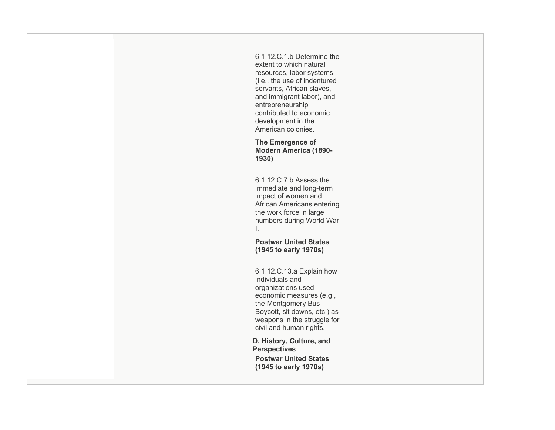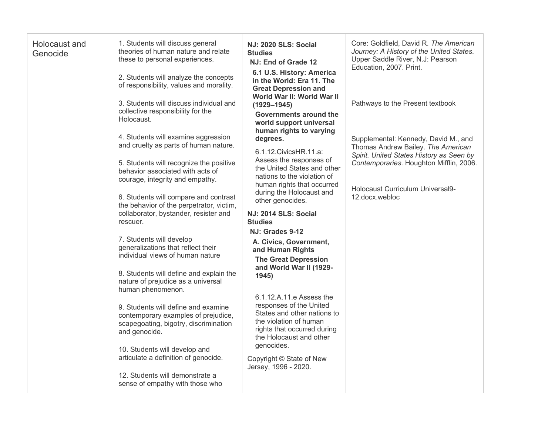| Holocaust and<br>Genocide | 1. Students will discuss general<br>theories of human nature and relate<br>these to personal experiences.<br>2. Students will analyze the concepts<br>of responsibility, values and morality.<br>3. Students will discuss individual and<br>collective responsibility for the<br>Holocaust.<br>4. Students will examine aggression<br>and cruelty as parts of human nature.<br>5. Students will recognize the positive<br>behavior associated with acts of<br>courage, integrity and empathy.<br>6. Students will compare and contrast<br>the behavior of the perpetrator, victim,<br>collaborator, bystander, resister and<br>rescuer.<br>7. Students will develop<br>generalizations that reflect their<br>individual views of human nature<br>8. Students will define and explain the<br>nature of prejudice as a universal<br>human phenomenon.<br>9. Students will define and examine<br>contemporary examples of prejudice,<br>scapegoating, bigotry, discrimination<br>and genocide.<br>10. Students will develop and<br>articulate a definition of genocide.<br>12. Students will demonstrate a<br>sense of empathy with those who | <b>NJ: 2020 SLS: Social</b><br><b>Studies</b><br>NJ: End of Grade 12<br>6.1 U.S. History: America<br>in the World: Era 11. The<br><b>Great Depression and</b><br>World War II: World War II<br>$(1929 - 1945)$<br><b>Governments around the</b><br>world support universal<br>human rights to varying<br>degrees.<br>6.1.12. Civics HR. 11. a:<br>Assess the responses of<br>the United States and other<br>nations to the violation of<br>human rights that occurred<br>during the Holocaust and<br>other genocides.<br>NJ: 2014 SLS: Social<br><b>Studies</b><br>NJ: Grades 9-12<br>A. Civics, Government,<br>and Human Rights<br><b>The Great Depression</b><br>and World War II (1929-<br>1945)<br>6.1.12.A.11.e Assess the<br>responses of the United<br>States and other nations to<br>the violation of human<br>rights that occurred during<br>the Holocaust and other<br>genocides.<br>Copyright © State of New<br>Jersey, 1996 - 2020. | Core: Goldfield, David R. The American<br>Journey: A History of the United States.<br>Upper Saddle River, N.J: Pearson<br>Education, 2007. Print.<br>Pathways to the Present textbook<br>Supplemental: Kennedy, David M., and<br>Thomas Andrew Bailey. The American<br>Spirit. United States History as Seen by<br>Contemporaries. Houghton Mifflin, 2006.<br>Holocaust Curriculum Universal9-<br>12.docx.webloc |
|---------------------------|--------------------------------------------------------------------------------------------------------------------------------------------------------------------------------------------------------------------------------------------------------------------------------------------------------------------------------------------------------------------------------------------------------------------------------------------------------------------------------------------------------------------------------------------------------------------------------------------------------------------------------------------------------------------------------------------------------------------------------------------------------------------------------------------------------------------------------------------------------------------------------------------------------------------------------------------------------------------------------------------------------------------------------------------------------------------------------------------------------------------------------------------|-------------------------------------------------------------------------------------------------------------------------------------------------------------------------------------------------------------------------------------------------------------------------------------------------------------------------------------------------------------------------------------------------------------------------------------------------------------------------------------------------------------------------------------------------------------------------------------------------------------------------------------------------------------------------------------------------------------------------------------------------------------------------------------------------------------------------------------------------------------------------------------------------------------------------------------------------|------------------------------------------------------------------------------------------------------------------------------------------------------------------------------------------------------------------------------------------------------------------------------------------------------------------------------------------------------------------------------------------------------------------|
|---------------------------|--------------------------------------------------------------------------------------------------------------------------------------------------------------------------------------------------------------------------------------------------------------------------------------------------------------------------------------------------------------------------------------------------------------------------------------------------------------------------------------------------------------------------------------------------------------------------------------------------------------------------------------------------------------------------------------------------------------------------------------------------------------------------------------------------------------------------------------------------------------------------------------------------------------------------------------------------------------------------------------------------------------------------------------------------------------------------------------------------------------------------------------------|-------------------------------------------------------------------------------------------------------------------------------------------------------------------------------------------------------------------------------------------------------------------------------------------------------------------------------------------------------------------------------------------------------------------------------------------------------------------------------------------------------------------------------------------------------------------------------------------------------------------------------------------------------------------------------------------------------------------------------------------------------------------------------------------------------------------------------------------------------------------------------------------------------------------------------------------------|------------------------------------------------------------------------------------------------------------------------------------------------------------------------------------------------------------------------------------------------------------------------------------------------------------------------------------------------------------------------------------------------------------------|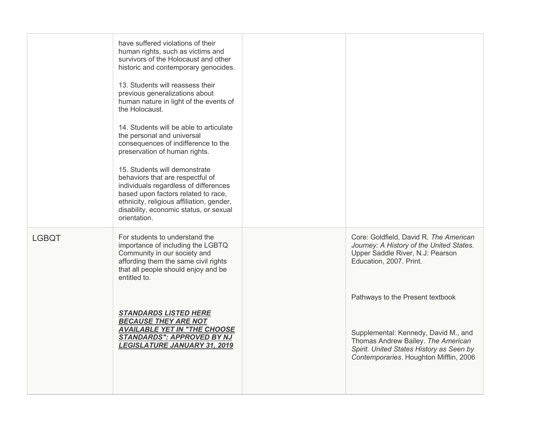|              | have suffered violations of their<br>human rights, such as victims and<br>survivors of the Holocaust and other<br>historic and contemporary genocides.<br>13. Students will reassess their<br>previous generalizations about<br>human nature in light of the events of<br>the Holocaust.<br>14. Students will be able to articulate<br>the personal and universal<br>consequences of indifference to the<br>preservation of human rights.<br>15. Students will demonstrate<br>behaviors that are respectful of<br>individuals regardless of differences<br>based upon factors related to race,<br>ethnicity, religious affiliation, gender,<br>disability, economic status, or sexual<br>orientation. |                                                                                                                                                                  |
|--------------|-------------------------------------------------------------------------------------------------------------------------------------------------------------------------------------------------------------------------------------------------------------------------------------------------------------------------------------------------------------------------------------------------------------------------------------------------------------------------------------------------------------------------------------------------------------------------------------------------------------------------------------------------------------------------------------------------------|------------------------------------------------------------------------------------------------------------------------------------------------------------------|
| <b>LGBQT</b> | For students to understand the<br>importance of including the LGBTQ<br>Community in our society and<br>affording them the same civil rights<br>that all people should enjoy and be<br>entitled to.                                                                                                                                                                                                                                                                                                                                                                                                                                                                                                    | Core: Goldfield, David R. The American<br>Journey: A History of the United States.<br>Upper Saddle River, N.J: Pearson<br>Education, 2007. Print.                |
|              |                                                                                                                                                                                                                                                                                                                                                                                                                                                                                                                                                                                                                                                                                                       | Pathways to the Present textbook                                                                                                                                 |
|              | <b>STANDARDS LISTED HERE</b><br><b>BECAUSE THEY ARE NOT</b><br><b>AVAILABLE YET IN "THE CHOOSE</b><br><b>STANDARDS": APPROVED BY NJ</b><br><b>LEGISLATURE JANUARY 31, 2019</b>                                                                                                                                                                                                                                                                                                                                                                                                                                                                                                                        | Supplemental: Kennedy, David M., and<br>Thomas Andrew Bailey. The American<br>Spirit. United States History as Seen by<br>Contemporaries. Houghton Mifflin, 2006 |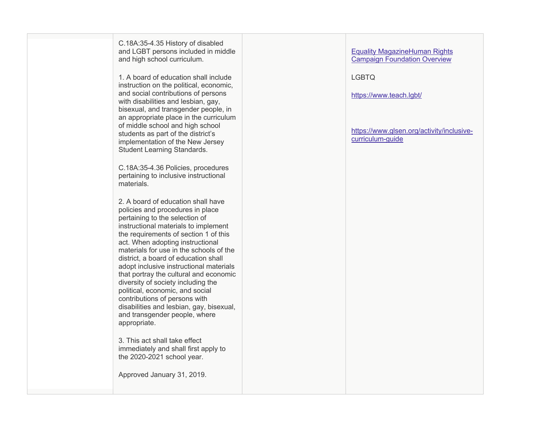C.18A:35 -4.35 History of disabled and LGBT persons included in middle and high school curriculum.

1. A board of education shall include instruction on the political, economic, and social contributions of persons with disabilities and lesbian, gay, bisexual, and transgender people, in an appropriate place in the curriculum of middle school and high school students as part of the district's implementation of the New Jersey Student Learning Standards.

C.18A:35 -4.36 Policies, procedures pertaining to inclusive instructional materials.

2. A board of education shall have policies and procedures in place pertaining to the selection of instructional materials to implement the requirements of section 1 of this act. When adopting instructional materials for use in the schools of the district, a board of education shall adopt inclusive instructional materials that portray the cultural and economic diversity of society including the political, economic, and social contributions of persons with disabilities and lesbian, gay, bisexual, and transgender people, where appropriate.

3. This act shall take effect immediately and shall first apply to the 2020 -2021 school year.

Approved January 31, 2019.

## Equality MagazineHuman Rights Campaign Foundation Overview

LGBTQ

https://www.teach.lgbt/

https://www.glsen.org/activity/inclusive curriculum -guide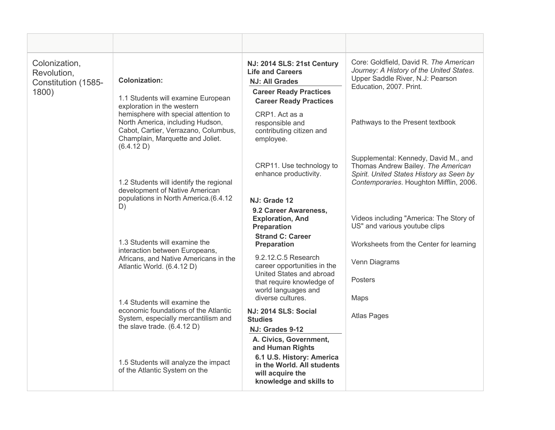| Colonization,<br>Revolution,<br>Constitution (1585-<br>1800) | <b>Colonization:</b><br>1.1 Students will examine European                                                                                                                                       | NJ: 2014 SLS: 21st Century<br><b>Life and Careers</b><br><b>NJ: All Grades</b><br><b>Career Ready Practices</b><br><b>Career Ready Practices</b>     | Core: Goldfield, David R. The American<br>Journey: A History of the United States.<br>Upper Saddle River, N.J: Pearson<br>Education, 2007. Print.                 |
|--------------------------------------------------------------|--------------------------------------------------------------------------------------------------------------------------------------------------------------------------------------------------|------------------------------------------------------------------------------------------------------------------------------------------------------|-------------------------------------------------------------------------------------------------------------------------------------------------------------------|
|                                                              | exploration in the western<br>hemisphere with special attention to<br>North America, including Hudson,<br>Cabot, Cartier, Verrazano, Columbus,<br>Champlain, Marquette and Joliet.<br>(6.4.12 D) | CRP1. Act as a<br>responsible and<br>contributing citizen and<br>employee.                                                                           | Pathways to the Present textbook                                                                                                                                  |
|                                                              | 1.2 Students will identify the regional<br>development of Native American                                                                                                                        | CRP11. Use technology to<br>enhance productivity.                                                                                                    | Supplemental: Kennedy, David M., and<br>Thomas Andrew Bailey. The American<br>Spirit. United States History as Seen by<br>Contemporaries. Houghton Mifflin, 2006. |
|                                                              | populations in North America.(6.4.12                                                                                                                                                             | NJ: Grade 12                                                                                                                                         |                                                                                                                                                                   |
|                                                              | D)                                                                                                                                                                                               | 9.2 Career Awareness,<br><b>Exploration, And</b><br><b>Preparation</b>                                                                               | Videos including "America: The Story of<br>US" and various youtube clips                                                                                          |
|                                                              | 1.3 Students will examine the                                                                                                                                                                    | <b>Strand C: Career</b><br><b>Preparation</b>                                                                                                        | Worksheets from the Center for learning                                                                                                                           |
|                                                              | interaction between Europeans,<br>Africans, and Native Americans in the<br>Atlantic World. (6.4.12 D)                                                                                            | 9.2.12.C.5 Research<br>career opportunities in the<br>United States and abroad                                                                       | Venn Diagrams                                                                                                                                                     |
|                                                              |                                                                                                                                                                                                  | that require knowledge of<br>world languages and                                                                                                     | <b>Posters</b>                                                                                                                                                    |
|                                                              | 1.4 Students will examine the                                                                                                                                                                    | diverse cultures.                                                                                                                                    | Maps                                                                                                                                                              |
|                                                              | economic foundations of the Atlantic<br>System, especially mercantilism and<br>the slave trade. $(6.4.12 D)$                                                                                     | <b>NJ: 2014 SLS: Social</b><br><b>Studies</b><br>NJ: Grades 9-12                                                                                     | <b>Atlas Pages</b>                                                                                                                                                |
|                                                              | 1.5 Students will analyze the impact<br>of the Atlantic System on the                                                                                                                            | A. Civics, Government,<br>and Human Rights<br>6.1 U.S. History: America<br>in the World. All students<br>will acquire the<br>knowledge and skills to |                                                                                                                                                                   |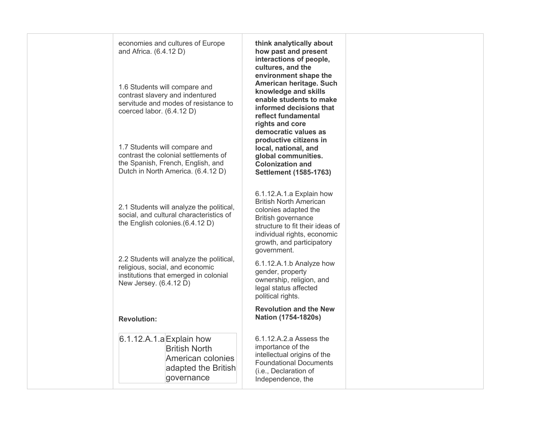| economies and cultures of Europe<br>and Africa. (6.4.12 D)                                                                                       | think analytically about<br>how past and present<br>interactions of people,<br>cultures, and the                                                                                                                      |  |
|--------------------------------------------------------------------------------------------------------------------------------------------------|-----------------------------------------------------------------------------------------------------------------------------------------------------------------------------------------------------------------------|--|
| 1.6 Students will compare and<br>contrast slavery and indentured<br>servitude and modes of resistance to<br>coerced labor. (6.4.12 D)            | environment shape the<br>American heritage. Such<br>knowledge and skills<br>enable students to make<br>informed decisions that<br>reflect fundamental<br>rights and core<br>democratic values as                      |  |
| 1.7 Students will compare and<br>contrast the colonial settlements of<br>the Spanish, French, English, and<br>Dutch in North America. (6.4.12 D) | productive citizens in<br>local, national, and<br>global communities.<br><b>Colonization and</b><br><b>Settlement (1585-1763)</b>                                                                                     |  |
| 2.1 Students will analyze the political,<br>social, and cultural characteristics of<br>the English colonies.(6.4.12 D)                           | 6.1.12.A.1.a Explain how<br><b>British North American</b><br>colonies adapted the<br>British governance<br>structure to fit their ideas of<br>individual rights, economic<br>growth, and participatory<br>government. |  |
| 2.2 Students will analyze the political,<br>religious, social, and economic<br>institutions that emerged in colonial<br>New Jersey. (6.4.12 D)   | 6.1.12.A.1.b Analyze how<br>gender, property<br>ownership, religion, and<br>legal status affected<br>political rights.                                                                                                |  |
| <b>Revolution:</b>                                                                                                                               | <b>Revolution and the New</b><br>Nation (1754-1820s)                                                                                                                                                                  |  |
| $6.1.12.A.1.a$ Explain how<br><b>British North</b><br>American colonies<br>adapted the British<br>governance                                     | $6.1.12.A.2.a$ Assess the<br>importance of the<br>intellectual origins of the<br><b>Foundational Documents</b><br>(i.e., Declaration of<br>Independence, the                                                          |  |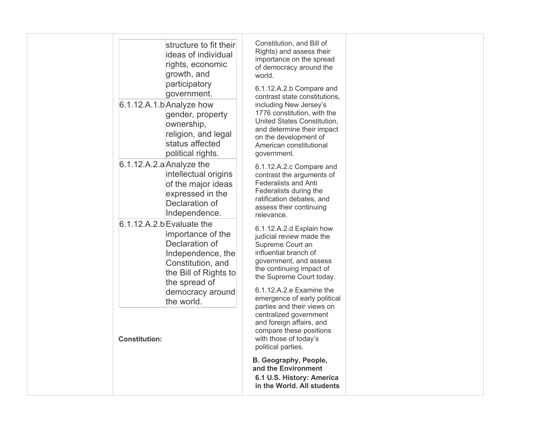| structure to fit their<br>ideas of individual<br>rights, economic<br>growth, and<br>participatory<br>government.<br>6.1.12.A.1.b Analyze how<br>gender, property<br>ownership,<br>religion, and legal<br>status affected<br>political rights.<br>$6.1.12.A.2.a$ Analyze the<br>intellectual origins<br>of the major ideas<br>expressed in the<br>Declaration of<br>Independence.<br>$6.1.12.A.2.b$ Evaluate the<br>importance of the<br>Declaration of<br>Independence, the<br>Constitution, and<br>the Bill of Rights to<br>the spread of<br>democracy around<br>the world.<br><b>Constitution:</b> | Constitution, and Bill of<br>Rights) and assess their<br>importance on the spread<br>of democracy around the<br>world.<br>6.1.12.A.2.b Compare and<br>contrast state constitutions,<br>including New Jersey's<br>1776 constitution, with the<br>United States Constitution,<br>and determine their impact<br>on the development of<br>American constitutional<br>government.<br>6.1.12.A.2.c Compare and<br>contrast the arguments of<br><b>Federalists and Anti</b><br>Federalists during the<br>ratification debates, and<br>assess their continuing<br>relevance.<br>6.1.12.A.2.d Explain how<br>judicial review made the<br>Supreme Court an<br>influential branch of<br>government, and assess<br>the continuing impact of<br>the Supreme Court today.<br>6.1.12.A.2.e Examine the<br>emergence of early political<br>parties and their views on<br>centralized government<br>and foreign affairs, and<br>compare these positions<br>with those of today's<br>political parties.<br>B. Geography, People,<br>and the Environment |  |
|------------------------------------------------------------------------------------------------------------------------------------------------------------------------------------------------------------------------------------------------------------------------------------------------------------------------------------------------------------------------------------------------------------------------------------------------------------------------------------------------------------------------------------------------------------------------------------------------------|---------------------------------------------------------------------------------------------------------------------------------------------------------------------------------------------------------------------------------------------------------------------------------------------------------------------------------------------------------------------------------------------------------------------------------------------------------------------------------------------------------------------------------------------------------------------------------------------------------------------------------------------------------------------------------------------------------------------------------------------------------------------------------------------------------------------------------------------------------------------------------------------------------------------------------------------------------------------------------------------------------------------------------------|--|
|                                                                                                                                                                                                                                                                                                                                                                                                                                                                                                                                                                                                      | 6.1 U.S. History: America<br>in the World. All students                                                                                                                                                                                                                                                                                                                                                                                                                                                                                                                                                                                                                                                                                                                                                                                                                                                                                                                                                                               |  |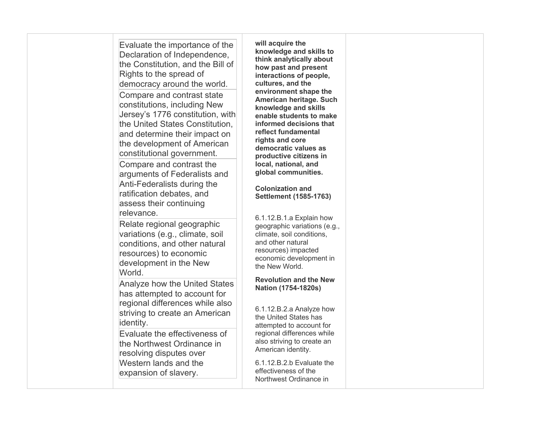| Evaluate the importance of the<br>Declaration of Independence,<br>the Constitution, and the Bill of<br>Rights to the spread of<br>democracy around the world.<br>Compare and contrast state<br>constitutions, including New<br>Jersey's 1776 constitution, with<br>the United States Constitution,<br>and determine their impact on<br>the development of American<br>constitutional government.<br>Compare and contrast the<br>arguments of Federalists and<br>Anti-Federalists during the<br>ratification debates, and<br>assess their continuing<br>relevance. | will acquire the<br>knowledge and skills to<br>think analytically about<br>how past and present<br>interactions of people,<br>cultures, and the<br>environment shape the<br>American heritage. Such<br>knowledge and skills<br>enable students to make<br>informed decisions that<br>reflect fundamental<br>rights and core<br>democratic values as<br>productive citizens in<br>local, national, and<br>global communities.<br><b>Colonization and</b><br><b>Settlement (1585-1763)</b> |  |
|-------------------------------------------------------------------------------------------------------------------------------------------------------------------------------------------------------------------------------------------------------------------------------------------------------------------------------------------------------------------------------------------------------------------------------------------------------------------------------------------------------------------------------------------------------------------|------------------------------------------------------------------------------------------------------------------------------------------------------------------------------------------------------------------------------------------------------------------------------------------------------------------------------------------------------------------------------------------------------------------------------------------------------------------------------------------|--|
| Relate regional geographic<br>variations (e.g., climate, soil<br>conditions, and other natural<br>resources) to economic<br>development in the New<br>World.<br><b>Analyze how the United States</b><br>has attempted to account for<br>regional differences while also<br>striving to create an American                                                                                                                                                                                                                                                         | 6.1.12.B.1.a Explain how<br>geographic variations (e.g.,<br>climate, soil conditions,<br>and other natural<br>resources) impacted<br>economic development in<br>the New World.<br><b>Revolution and the New</b><br>Nation (1754-1820s)<br>6.1.12.B.2.a Analyze how<br>the United States has                                                                                                                                                                                              |  |
| identity.<br>Evaluate the effectiveness of<br>the Northwest Ordinance in<br>resolving disputes over<br>Western lands and the<br>expansion of slavery.                                                                                                                                                                                                                                                                                                                                                                                                             | attempted to account for<br>regional differences while<br>also striving to create an<br>American identity.<br>6.1.12.B.2.b Evaluate the<br>effectiveness of the<br>Northwest Ordinance in                                                                                                                                                                                                                                                                                                |  |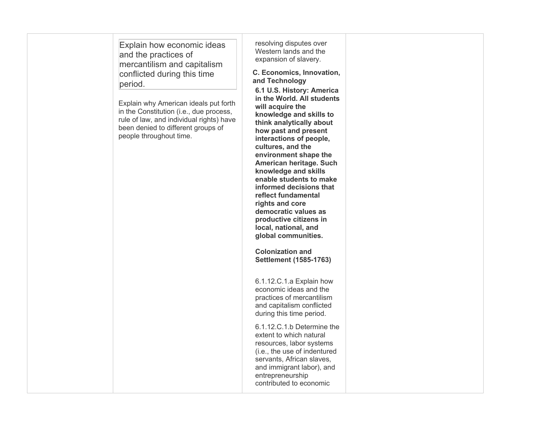| Explain how economic ideas<br>and the practices of<br>mercantilism and capitalism<br>conflicted during this time<br>period.<br>Explain why American ideals put forth<br>in the Constitution (i.e., due process,<br>rule of law, and individual rights) have<br>been denied to different groups of<br>people throughout time. | resolving disputes over<br>Western lands and the<br>expansion of slavery.<br>C. Economics, Innovation,<br>and Technology<br>6.1 U.S. History: America<br>in the World. All students<br>will acquire the<br>knowledge and skills to<br>think analytically about<br>how past and present<br>interactions of people,<br>cultures, and the<br>environment shape the<br>American heritage. Such<br>knowledge and skills<br>enable students to make<br>informed decisions that<br>reflect fundamental<br>rights and core<br>democratic values as<br>productive citizens in<br>local, national, and<br>global communities.<br><b>Colonization and</b><br><b>Settlement (1585-1763)</b><br>6.1.12.C.1.a Explain how<br>economic ideas and the<br>practices of mercantilism<br>and capitalism conflicted<br>during this time period.<br>6.1.12.C.1.b Determine the<br>extent to which natural<br>resources, labor systems<br>(i.e., the use of indentured<br>servants, African slaves,<br>and immigrant labor), and<br>entrepreneurship<br>contributed to economic |  |
|------------------------------------------------------------------------------------------------------------------------------------------------------------------------------------------------------------------------------------------------------------------------------------------------------------------------------|-----------------------------------------------------------------------------------------------------------------------------------------------------------------------------------------------------------------------------------------------------------------------------------------------------------------------------------------------------------------------------------------------------------------------------------------------------------------------------------------------------------------------------------------------------------------------------------------------------------------------------------------------------------------------------------------------------------------------------------------------------------------------------------------------------------------------------------------------------------------------------------------------------------------------------------------------------------------------------------------------------------------------------------------------------------|--|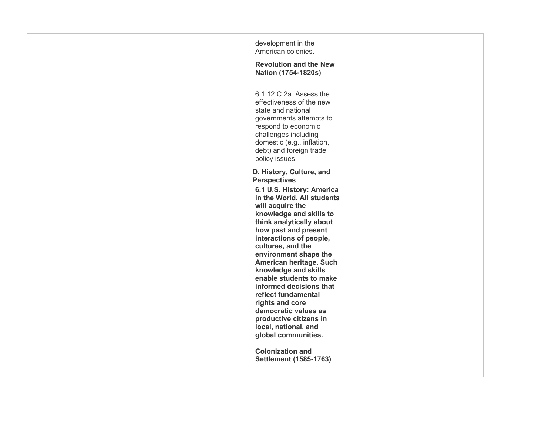|  | development in the<br>American colonies.<br><b>Revolution and the New</b><br>Nation (1754-1820s)<br>6.1.12.C.2a. Assess the                                                                                                                                                                                                                                                                                                                                                                                                                                                                            |  |
|--|--------------------------------------------------------------------------------------------------------------------------------------------------------------------------------------------------------------------------------------------------------------------------------------------------------------------------------------------------------------------------------------------------------------------------------------------------------------------------------------------------------------------------------------------------------------------------------------------------------|--|
|  | effectiveness of the new<br>state and national<br>governments attempts to<br>respond to economic<br>challenges including<br>domestic (e.g., inflation,<br>debt) and foreign trade<br>policy issues.                                                                                                                                                                                                                                                                                                                                                                                                    |  |
|  | D. History, Culture, and<br><b>Perspectives</b><br>6.1 U.S. History: America<br>in the World. All students<br>will acquire the<br>knowledge and skills to<br>think analytically about<br>how past and present<br>interactions of people,<br>cultures, and the<br>environment shape the<br>American heritage. Such<br>knowledge and skills<br>enable students to make<br>informed decisions that<br>reflect fundamental<br>rights and core<br>democratic values as<br>productive citizens in<br>local, national, and<br>global communities.<br><b>Colonization and</b><br><b>Settlement (1585-1763)</b> |  |
|  |                                                                                                                                                                                                                                                                                                                                                                                                                                                                                                                                                                                                        |  |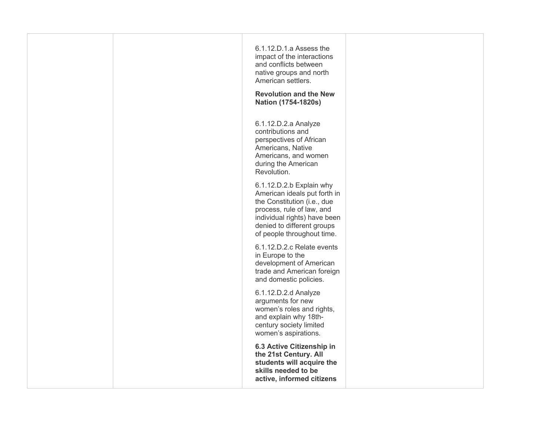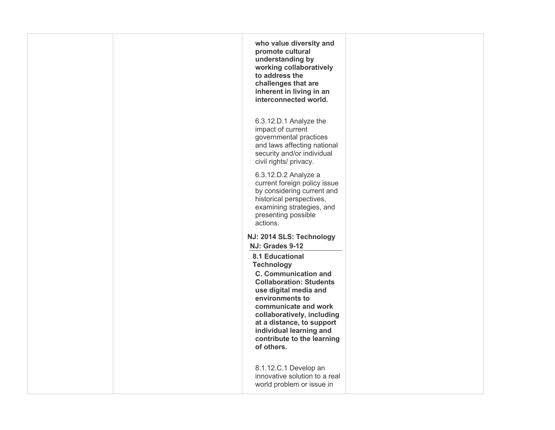| who value diversity and<br>promote cultural<br>understanding by<br>working collaboratively<br>to address the<br>challenges that are<br>inherent in living in an<br>interconnected world.                                                                                                                                              |  |
|---------------------------------------------------------------------------------------------------------------------------------------------------------------------------------------------------------------------------------------------------------------------------------------------------------------------------------------|--|
| 6.3.12.D.1 Analyze the<br>impact of current<br>governmental practices<br>and laws affecting national<br>security and/or individual<br>civil rights/ privacy.                                                                                                                                                                          |  |
| 6.3.12.D.2 Analyze a<br>current foreign policy issue<br>by considering current and<br>historical perspectives,<br>examining strategies, and<br>presenting possible<br>actions.                                                                                                                                                        |  |
| NJ: 2014 SLS: Technology                                                                                                                                                                                                                                                                                                              |  |
| NJ: Grades 9-12<br><b>8.1 Educational</b><br><b>Technology</b><br><b>C. Communication and</b><br><b>Collaboration: Students</b><br>use digital media and<br>environments to<br>communicate and work<br>collaboratively, including<br>at a distance, to support<br>individual learning and<br>contribute to the learning<br>of others. |  |
| 8.1.12.C.1 Develop an<br>innovative solution to a real<br>world problem or issue in                                                                                                                                                                                                                                                   |  |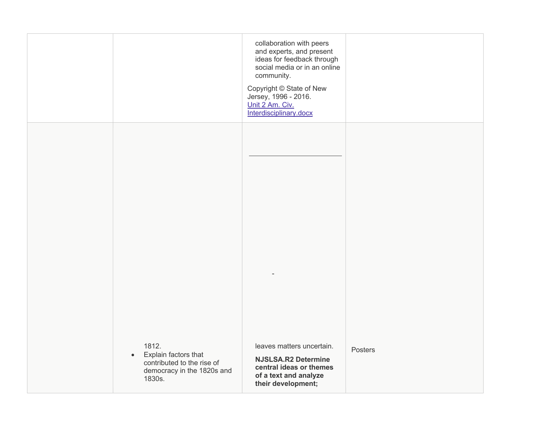|                                                                                                                  | collaboration with peers<br>and experts, and present<br>ideas for feedback through<br>social media or in an online<br>community.<br>Copyright © State of New<br>Jersey, 1996 - 2016.<br>Unit 2 Am. Civ.<br>Interdisciplinary.docx |         |
|------------------------------------------------------------------------------------------------------------------|-----------------------------------------------------------------------------------------------------------------------------------------------------------------------------------------------------------------------------------|---------|
|                                                                                                                  |                                                                                                                                                                                                                                   |         |
|                                                                                                                  |                                                                                                                                                                                                                                   |         |
| 1812.<br>Explain factors that<br>$\bullet$<br>contributed to the rise of<br>democracy in the 1820s and<br>1830s. | leaves matters uncertain.<br><b>NJSLSA.R2 Determine</b><br>central ideas or themes<br>of a text and analyze<br>their development;                                                                                                 | Posters |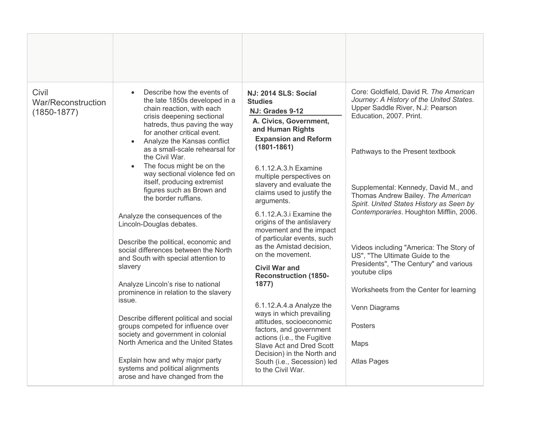| Civil<br>War/Reconstruction<br>$(1850 - 1877)$ | Describe how the events of<br>$\bullet$<br>the late 1850s developed in a<br>chain reaction, with each<br>crisis deepening sectional<br>hatreds, thus paving the way<br>for another critical event.<br>Analyze the Kansas conflict<br>as a small-scale rehearsal for<br>the Civil War.<br>The focus might be on the<br>way sectional violence fed on<br>itself, producing extremist<br>figures such as Brown and<br>the border ruffians.<br>Analyze the consequences of the<br>Lincoln-Douglas debates.<br>Describe the political, economic and<br>social differences between the North<br>and South with special attention to<br>slavery<br>Analyze Lincoln's rise to national<br>prominence in relation to the slavery<br>issue.<br>Describe different political and social<br>groups competed for influence over<br>society and government in colonial<br>North America and the United States<br>Explain how and why major party<br>systems and political alignments<br>arose and have changed from the | NJ: 2014 SLS: Social<br><b>Studies</b><br>NJ: Grades 9-12<br>A. Civics, Government,<br>and Human Rights<br><b>Expansion and Reform</b><br>$(1801 - 1861)$<br>6.1.12.A.3.h Examine<br>multiple perspectives on<br>slavery and evaluate the<br>claims used to justify the<br>arguments.<br>6.1.12.A.3.i Examine the<br>origins of the antislavery<br>movement and the impact<br>of particular events, such<br>as the Amistad decision,<br>on the movement.<br><b>Civil War and</b><br><b>Reconstruction (1850-</b><br>1877)<br>6.1.12.A.4.a Analyze the<br>ways in which prevailing<br>attitudes, socioeconomic<br>factors, and government<br>actions (i.e., the Fugitive<br>Slave Act and Dred Scott<br>Decision) in the North and<br>South (i.e., Secession) led<br>to the Civil War. | Core: Goldfield, David R. The American<br>Journey: A History of the United States.<br>Upper Saddle River, N.J: Pearson<br>Education, 2007. Print.<br>Pathways to the Present textbook<br>Supplemental: Kennedy, David M., and<br>Thomas Andrew Bailey. The American<br>Spirit. United States History as Seen by<br>Contemporaries. Houghton Mifflin, 2006.<br>Videos including "America: The Story of<br>US", "The Ultimate Guide to the<br>Presidents", "The Century" and various<br>youtube clips<br>Worksheets from the Center for learning<br>Venn Diagrams<br><b>Posters</b><br>Maps<br><b>Atlas Pages</b> |
|------------------------------------------------|-----------------------------------------------------------------------------------------------------------------------------------------------------------------------------------------------------------------------------------------------------------------------------------------------------------------------------------------------------------------------------------------------------------------------------------------------------------------------------------------------------------------------------------------------------------------------------------------------------------------------------------------------------------------------------------------------------------------------------------------------------------------------------------------------------------------------------------------------------------------------------------------------------------------------------------------------------------------------------------------------------------|---------------------------------------------------------------------------------------------------------------------------------------------------------------------------------------------------------------------------------------------------------------------------------------------------------------------------------------------------------------------------------------------------------------------------------------------------------------------------------------------------------------------------------------------------------------------------------------------------------------------------------------------------------------------------------------------------------------------------------------------------------------------------------------|-----------------------------------------------------------------------------------------------------------------------------------------------------------------------------------------------------------------------------------------------------------------------------------------------------------------------------------------------------------------------------------------------------------------------------------------------------------------------------------------------------------------------------------------------------------------------------------------------------------------|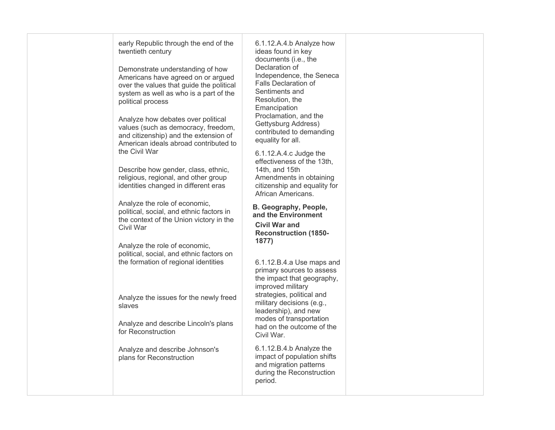| early Republic through the end of the<br>6.1.12.A.4.b Analyze how<br>twentieth century<br>ideas found in key<br>documents (i.e., the<br>Declaration of<br>Demonstrate understanding of how<br>Independence, the Seneca<br>Americans have agreed on or argued<br><b>Falls Declaration of</b><br>over the values that guide the political<br>Sentiments and<br>system as well as who is a part of the<br>Resolution, the<br>political process<br>Emancipation<br>Proclamation, and the<br>Analyze how debates over political<br>Gettysburg Address)<br>values (such as democracy, freedom,<br>contributed to demanding<br>and citizenship) and the extension of<br>equality for all.<br>American ideals abroad contributed to<br>the Civil War<br>6.1.12.A.4.c Judge the<br>effectiveness of the 13th.<br>Describe how gender, class, ethnic,<br>14th, and 15th<br>religious, regional, and other group<br>Amendments in obtaining<br>identities changed in different eras<br>citizenship and equality for<br>African Americans.<br>Analyze the role of economic,<br>B. Geography, People,<br>political, social, and ethnic factors in<br>and the Environment<br>the context of the Union victory in the<br><b>Civil War and</b><br>Civil War<br><b>Reconstruction (1850-</b><br>1877)<br>Analyze the role of economic,<br>political, social, and ethnic factors on<br>the formation of regional identities<br>6.1.12.B.4.a Use maps and<br>primary sources to assess<br>the impact that geography,<br>improved military<br>strategies, political and<br>Analyze the issues for the newly freed<br>military decisions (e.g.,<br>slaves<br>leadership), and new<br>modes of transportation<br>Analyze and describe Lincoln's plans<br>had on the outcome of the<br>for Reconstruction<br>Civil War.<br>6.1.12.B.4.b Analyze the<br>Analyze and describe Johnson's<br>impact of population shifts<br>plans for Reconstruction<br>and migration patterns<br>during the Reconstruction<br>period. |  |  |
|---------------------------------------------------------------------------------------------------------------------------------------------------------------------------------------------------------------------------------------------------------------------------------------------------------------------------------------------------------------------------------------------------------------------------------------------------------------------------------------------------------------------------------------------------------------------------------------------------------------------------------------------------------------------------------------------------------------------------------------------------------------------------------------------------------------------------------------------------------------------------------------------------------------------------------------------------------------------------------------------------------------------------------------------------------------------------------------------------------------------------------------------------------------------------------------------------------------------------------------------------------------------------------------------------------------------------------------------------------------------------------------------------------------------------------------------------------------------------------------------------------------------------------------------------------------------------------------------------------------------------------------------------------------------------------------------------------------------------------------------------------------------------------------------------------------------------------------------------------------------------------------------------------------------------------------------------------------------------------------------|--|--|
|                                                                                                                                                                                                                                                                                                                                                                                                                                                                                                                                                                                                                                                                                                                                                                                                                                                                                                                                                                                                                                                                                                                                                                                                                                                                                                                                                                                                                                                                                                                                                                                                                                                                                                                                                                                                                                                                                                                                                                                             |  |  |
|                                                                                                                                                                                                                                                                                                                                                                                                                                                                                                                                                                                                                                                                                                                                                                                                                                                                                                                                                                                                                                                                                                                                                                                                                                                                                                                                                                                                                                                                                                                                                                                                                                                                                                                                                                                                                                                                                                                                                                                             |  |  |
|                                                                                                                                                                                                                                                                                                                                                                                                                                                                                                                                                                                                                                                                                                                                                                                                                                                                                                                                                                                                                                                                                                                                                                                                                                                                                                                                                                                                                                                                                                                                                                                                                                                                                                                                                                                                                                                                                                                                                                                             |  |  |
|                                                                                                                                                                                                                                                                                                                                                                                                                                                                                                                                                                                                                                                                                                                                                                                                                                                                                                                                                                                                                                                                                                                                                                                                                                                                                                                                                                                                                                                                                                                                                                                                                                                                                                                                                                                                                                                                                                                                                                                             |  |  |
|                                                                                                                                                                                                                                                                                                                                                                                                                                                                                                                                                                                                                                                                                                                                                                                                                                                                                                                                                                                                                                                                                                                                                                                                                                                                                                                                                                                                                                                                                                                                                                                                                                                                                                                                                                                                                                                                                                                                                                                             |  |  |
|                                                                                                                                                                                                                                                                                                                                                                                                                                                                                                                                                                                                                                                                                                                                                                                                                                                                                                                                                                                                                                                                                                                                                                                                                                                                                                                                                                                                                                                                                                                                                                                                                                                                                                                                                                                                                                                                                                                                                                                             |  |  |
|                                                                                                                                                                                                                                                                                                                                                                                                                                                                                                                                                                                                                                                                                                                                                                                                                                                                                                                                                                                                                                                                                                                                                                                                                                                                                                                                                                                                                                                                                                                                                                                                                                                                                                                                                                                                                                                                                                                                                                                             |  |  |
|                                                                                                                                                                                                                                                                                                                                                                                                                                                                                                                                                                                                                                                                                                                                                                                                                                                                                                                                                                                                                                                                                                                                                                                                                                                                                                                                                                                                                                                                                                                                                                                                                                                                                                                                                                                                                                                                                                                                                                                             |  |  |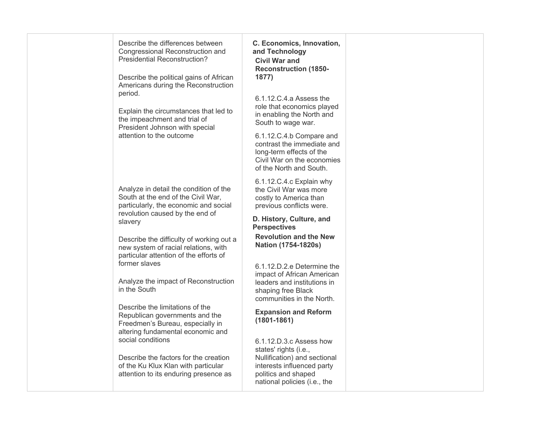| Describe the differences between<br>Congressional Reconstruction and<br><b>Presidential Reconstruction?</b><br>Describe the political gains of African<br>Americans during the Reconstruction<br>period.<br>Explain the circumstances that led to<br>the impeachment and trial of<br>President Johnson with special<br>attention to the outcome | C. Economics, Innovation,<br>and Technology<br><b>Civil War and</b><br><b>Reconstruction (1850-</b><br>1877)<br>6.1.12.C.4.a Assess the<br>role that economics played<br>in enabling the North and<br>South to wage war.<br>6.1.12.C.4.b Compare and<br>contrast the immediate and |  |
|-------------------------------------------------------------------------------------------------------------------------------------------------------------------------------------------------------------------------------------------------------------------------------------------------------------------------------------------------|------------------------------------------------------------------------------------------------------------------------------------------------------------------------------------------------------------------------------------------------------------------------------------|--|
|                                                                                                                                                                                                                                                                                                                                                 | long-term effects of the<br>Civil War on the economies<br>of the North and South.<br>6.1.12.C.4.c Explain why                                                                                                                                                                      |  |
| Analyze in detail the condition of the<br>South at the end of the Civil War,<br>particularly, the economic and social<br>revolution caused by the end of                                                                                                                                                                                        | the Civil War was more<br>costly to America than<br>previous conflicts were.<br>D. History, Culture, and                                                                                                                                                                           |  |
| slavery                                                                                                                                                                                                                                                                                                                                         | <b>Perspectives</b>                                                                                                                                                                                                                                                                |  |
| Describe the difficulty of working out a<br>new system of racial relations, with<br>particular attention of the efforts of<br>former slaves                                                                                                                                                                                                     | <b>Revolution and the New</b><br>Nation (1754-1820s)<br>6.1.12.D.2.e Determine the<br>impact of African American                                                                                                                                                                   |  |
| Analyze the impact of Reconstruction<br>in the South                                                                                                                                                                                                                                                                                            | leaders and institutions in<br>shaping free Black<br>communities in the North.                                                                                                                                                                                                     |  |
| Describe the limitations of the<br>Republican governments and the<br>Freedmen's Bureau, especially in<br>altering fundamental economic and                                                                                                                                                                                                      | <b>Expansion and Reform</b><br>$(1801 - 1861)$                                                                                                                                                                                                                                     |  |
| social conditions<br>Describe the factors for the creation                                                                                                                                                                                                                                                                                      | 6.1.12.D.3.c Assess how<br>states' rights (i.e.,<br>Nullification) and sectional                                                                                                                                                                                                   |  |
| of the Ku Klux Klan with particular<br>attention to its enduring presence as                                                                                                                                                                                                                                                                    | interests influenced party<br>politics and shaped<br>national policies (i.e., the                                                                                                                                                                                                  |  |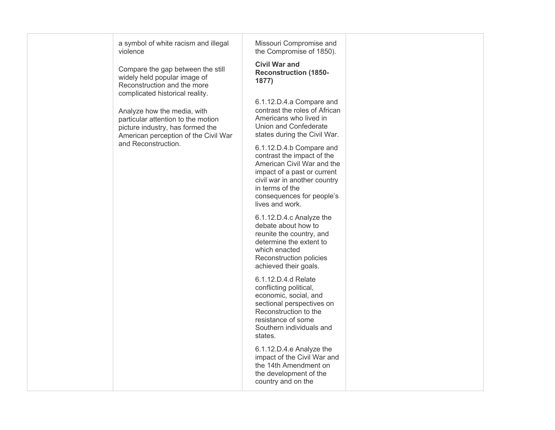| a symbol of white racism and illegal<br>violence                                                                                              | Missouri Compromise and<br>the Compromise of 1850).                                                                                                                                                                    |  |
|-----------------------------------------------------------------------------------------------------------------------------------------------|------------------------------------------------------------------------------------------------------------------------------------------------------------------------------------------------------------------------|--|
| Compare the gap between the still<br>widely held popular image of<br>Reconstruction and the more<br>complicated historical reality.           | <b>Civil War and</b><br><b>Reconstruction (1850-</b><br>1877)                                                                                                                                                          |  |
| Analyze how the media, with<br>particular attention to the motion<br>picture industry, has formed the<br>American perception of the Civil War | 6.1.12.D.4.a Compare and<br>contrast the roles of African<br>Americans who lived in<br>Union and Confederate<br>states during the Civil War.                                                                           |  |
| and Reconstruction.                                                                                                                           | 6.1.12.D.4.b Compare and<br>contrast the impact of the<br>American Civil War and the<br>impact of a past or current<br>civil war in another country<br>in terms of the<br>consequences for people's<br>lives and work. |  |
|                                                                                                                                               | 6.1.12.D.4.c Analyze the<br>debate about how to<br>reunite the country, and<br>determine the extent to<br>which enacted<br>Reconstruction policies<br>achieved their goals.                                            |  |
|                                                                                                                                               | 6.1.12.D.4.d Relate<br>conflicting political,<br>economic, social, and<br>sectional perspectives on<br>Reconstruction to the<br>resistance of some<br>Southern individuals and<br>states.                              |  |
|                                                                                                                                               | 6.1.12.D.4.e Analyze the<br>impact of the Civil War and<br>the 14th Amendment on<br>the development of the<br>country and on the                                                                                       |  |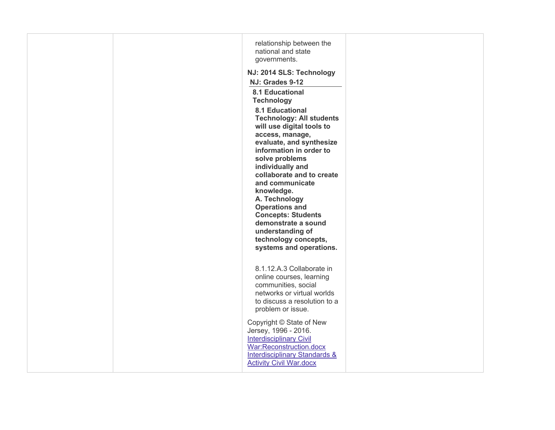|  | relationship between the<br>national and state<br>governments.<br>NJ: 2014 SLS: Technology<br>NJ: Grades 9-12<br><b>8.1 Educational</b><br><b>Technology</b><br><b>8.1 Educational</b><br><b>Technology: All students</b><br>will use digital tools to<br>access, manage,<br>evaluate, and synthesize<br>information in order to<br>solve problems<br>individually and<br>collaborate and to create<br>and communicate<br>knowledge.<br>A. Technology<br><b>Operations and</b><br><b>Concepts: Students</b><br>demonstrate a sound<br>understanding of<br>technology concepts,<br>systems and operations. |  |
|--|-----------------------------------------------------------------------------------------------------------------------------------------------------------------------------------------------------------------------------------------------------------------------------------------------------------------------------------------------------------------------------------------------------------------------------------------------------------------------------------------------------------------------------------------------------------------------------------------------------------|--|
|  | 8.1.12.A.3 Collaborate in<br>online courses, learning<br>communities, social<br>networks or virtual worlds<br>to discuss a resolution to a<br>problem or issue.                                                                                                                                                                                                                                                                                                                                                                                                                                           |  |
|  | Copyright © State of New<br>Jersey, 1996 - 2016.<br><b>Interdisciplinary Civil</b><br>War:Reconstruction.docx<br><b>Interdisciplinary Standards &amp;</b><br><b>Activity Civil War.docx</b>                                                                                                                                                                                                                                                                                                                                                                                                               |  |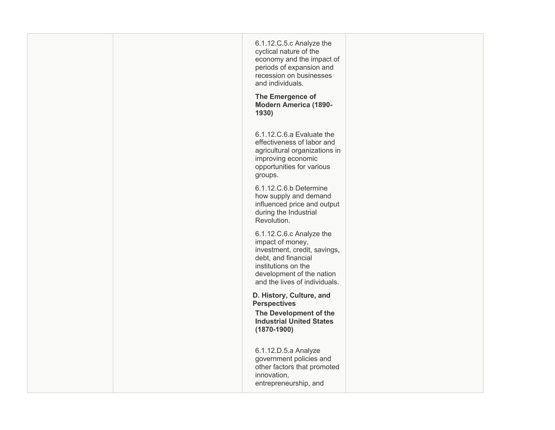| 6.1.12.C.5.c Analyze the<br>cyclical nature of the<br>economy and the impact of<br>periods of expansion and<br>recession on businesses<br>and individuals.<br>The Emergence of<br><b>Modern America (1890-</b><br>1930) |  |
|-------------------------------------------------------------------------------------------------------------------------------------------------------------------------------------------------------------------------|--|
| 6.1.12.C.6.a Evaluate the<br>effectiveness of labor and<br>agricultural organizations in<br>improving economic<br>opportunities for various<br>groups.                                                                  |  |
| 6.1.12.C.6.b Determine<br>how supply and demand<br>influenced price and output<br>during the Industrial<br>Revolution.                                                                                                  |  |
| 6.1.12.C.6.c Analyze the<br>impact of money,<br>investment, credit, savings,<br>debt, and financial<br>institutions on the<br>development of the nation<br>and the lives of individuals.                                |  |
| D. History, Culture, and<br><b>Perspectives</b><br>The Development of the<br><b>Industrial United States</b><br>$(1870 - 1900)$                                                                                         |  |
| 6.1.12.D.5.a Analyze<br>government policies and<br>other factors that promoted<br>innovation,<br>entrepreneurship, and                                                                                                  |  |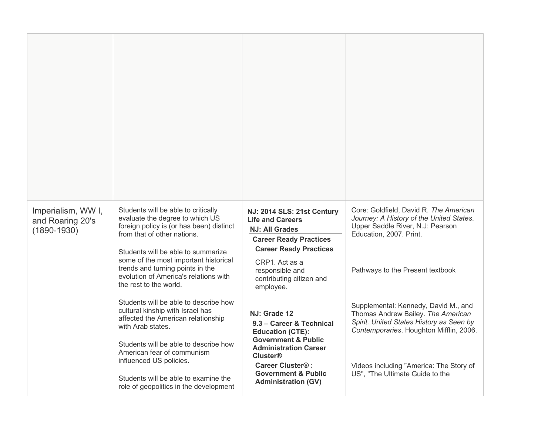| Imperialism, WW I,<br>and Roaring 20's<br>$(1890 - 1930)$ | Students will be able to critically<br>evaluate the degree to which US<br>foreign policy is (or has been) distinct<br>from that of other nations.                                  | NJ: 2014 SLS: 21st Century<br><b>Life and Careers</b><br><b>NJ: All Grades</b><br><b>Career Ready Practices</b><br><b>Career Ready Practices</b> | Core: Goldfield, David R. The American<br>Journey: A History of the United States.<br>Upper Saddle River, N.J: Pearson<br>Education, 2007. Print.                 |
|-----------------------------------------------------------|------------------------------------------------------------------------------------------------------------------------------------------------------------------------------------|--------------------------------------------------------------------------------------------------------------------------------------------------|-------------------------------------------------------------------------------------------------------------------------------------------------------------------|
|                                                           | Students will be able to summarize<br>some of the most important historical<br>trends and turning points in the<br>evolution of America's relations with<br>the rest to the world. | CRP1. Act as a<br>responsible and<br>contributing citizen and<br>employee.                                                                       | Pathways to the Present textbook                                                                                                                                  |
|                                                           | Students will be able to describe how<br>cultural kinship with Israel has<br>affected the American relationship<br>with Arab states.<br>Students will be able to describe how      | NJ: Grade 12<br>9.3 - Career & Technical<br><b>Education (CTE):</b><br><b>Government &amp; Public</b>                                            | Supplemental: Kennedy, David M., and<br>Thomas Andrew Bailey. The American<br>Spirit. United States History as Seen by<br>Contemporaries. Houghton Mifflin, 2006. |
|                                                           | American fear of communism<br>influenced US policies.<br>Students will be able to examine the<br>role of geopolitics in the development                                            | <b>Administration Career</b><br><b>Cluster®</b><br><b>Career Cluster®:</b><br><b>Government &amp; Public</b><br><b>Administration (GV)</b>       | Videos including "America: The Story of<br>US", "The Ultimate Guide to the                                                                                        |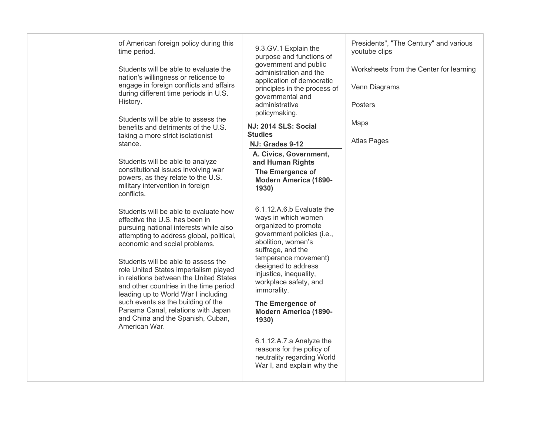| of American foreign policy during this<br>time period.<br>Students will be able to evaluate the<br>nation's willingness or reticence to<br>engage in foreign conflicts and affairs<br>during different time periods in U.S.<br>History.<br>Students will be able to assess the<br>benefits and detriments of the U.S.<br>taking a more strict isolationist<br>stance.<br>Students will be able to analyze<br>constitutional issues involving war<br>powers, as they relate to the U.S.<br>military intervention in foreign<br>conflicts.<br>Students will be able to evaluate how<br>effective the U.S. has been in<br>pursuing national interests while also<br>attempting to address global, political, | 9.3.GV.1 Explain the<br>purpose and functions of<br>government and public<br>administration and the<br>application of democratic<br>principles in the process of<br>governmental and<br>administrative<br>policymaking.<br>NJ: 2014 SLS: Social<br><b>Studies</b><br>NJ: Grades 9-12<br>A. Civics, Government,<br>and Human Rights<br>The Emergence of<br><b>Modern America (1890-</b><br>1930)<br>6.1.12.A.6.b Evaluate the<br>ways in which women<br>organized to promote<br>government policies (i.e., | Presidents", "The Century" and various<br>youtube clips<br>Worksheets from the Center for learning<br>Venn Diagrams<br><b>Posters</b><br>Maps<br><b>Atlas Pages</b> |
|-----------------------------------------------------------------------------------------------------------------------------------------------------------------------------------------------------------------------------------------------------------------------------------------------------------------------------------------------------------------------------------------------------------------------------------------------------------------------------------------------------------------------------------------------------------------------------------------------------------------------------------------------------------------------------------------------------------|-----------------------------------------------------------------------------------------------------------------------------------------------------------------------------------------------------------------------------------------------------------------------------------------------------------------------------------------------------------------------------------------------------------------------------------------------------------------------------------------------------------|---------------------------------------------------------------------------------------------------------------------------------------------------------------------|
| economic and social problems.<br>Students will be able to assess the<br>role United States imperialism played<br>in relations between the United States<br>and other countries in the time period<br>leading up to World War I including<br>such events as the building of the<br>Panama Canal, relations with Japan<br>and China and the Spanish, Cuban,<br>American War.                                                                                                                                                                                                                                                                                                                                | abolition, women's<br>suffrage, and the<br>temperance movement)<br>designed to address<br>injustice, inequality,<br>workplace safety, and<br>immorality.<br>The Emergence of<br><b>Modern America (1890-</b><br>1930)<br>6.1.12.A.7.a Analyze the<br>reasons for the policy of<br>neutrality regarding World<br>War I, and explain why the                                                                                                                                                                |                                                                                                                                                                     |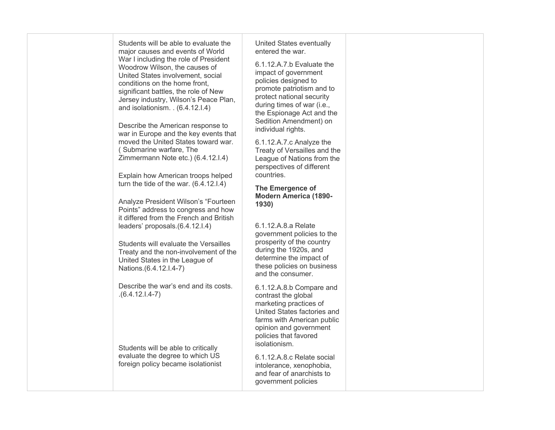| Students will be able to evaluate the<br>major causes and events of World<br>War I including the role of President<br>Woodrow Wilson, the causes of<br>United States involvement, social<br>conditions on the home front.<br>significant battles, the role of New<br>Jersey industry, Wilson's Peace Plan,<br>and isolationism. . (6.4.12.1.4)<br>Describe the American response to<br>war in Europe and the key events that<br>moved the United States toward war.<br>(Submarine warfare, The<br>Zimmermann Note etc.) (6.4.12.I.4)<br>Explain how American troops helped<br>turn the tide of the war. $(6.4.12.1.4)$<br>Analyze President Wilson's "Fourteen<br>Points" address to congress and how<br>it differed from the French and British<br>leaders' proposals.(6.4.12.I.4)<br>Students will evaluate the Versailles<br>Treaty and the non-involvement of the<br>United States in the League of<br>Nations.(6.4.12.I.4-7) | United States eventually<br>entered the war.<br>6.1.12.A.7.b Evaluate the<br>impact of government<br>policies designed to<br>promote patriotism and to<br>protect national security<br>during times of war (i.e.,<br>the Espionage Act and the<br>Sedition Amendment) on<br>individual rights.<br>6.1.12.A.7.c Analyze the<br>Treaty of Versailles and the<br>League of Nations from the<br>perspectives of different<br>countries.<br>The Emergence of<br><b>Modern America (1890-</b><br>1930)<br>6.1.12.A.8.a Relate<br>government policies to the<br>prosperity of the country<br>during the 1920s, and<br>determine the impact of<br>these policies on business<br>and the consumer. |  |
|-----------------------------------------------------------------------------------------------------------------------------------------------------------------------------------------------------------------------------------------------------------------------------------------------------------------------------------------------------------------------------------------------------------------------------------------------------------------------------------------------------------------------------------------------------------------------------------------------------------------------------------------------------------------------------------------------------------------------------------------------------------------------------------------------------------------------------------------------------------------------------------------------------------------------------------|-------------------------------------------------------------------------------------------------------------------------------------------------------------------------------------------------------------------------------------------------------------------------------------------------------------------------------------------------------------------------------------------------------------------------------------------------------------------------------------------------------------------------------------------------------------------------------------------------------------------------------------------------------------------------------------------|--|
| Describe the war's end and its costs.<br>$(6.4.12.1.4-7)$<br>Students will be able to critically<br>evaluate the degree to which US<br>foreign policy became isolationist                                                                                                                                                                                                                                                                                                                                                                                                                                                                                                                                                                                                                                                                                                                                                         | 6.1.12.A.8.b Compare and<br>contrast the global<br>marketing practices of<br>United States factories and<br>farms with American public<br>opinion and government<br>policies that favored<br>isolationism.<br>6.1.12.A.8.c Relate social<br>intolerance, xenophobia,<br>and fear of anarchists to<br>government policies                                                                                                                                                                                                                                                                                                                                                                  |  |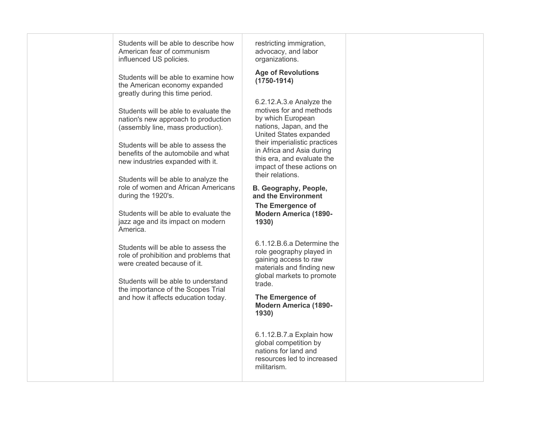| Students will be able to describe how<br>American fear of communism<br>influenced US policies.                                                     | restricting immigration,<br>advocacy, and labor<br>organizations.                                                                                   |  |
|----------------------------------------------------------------------------------------------------------------------------------------------------|-----------------------------------------------------------------------------------------------------------------------------------------------------|--|
| Students will be able to examine how<br>the American economy expanded<br>greatly during this time period.                                          | <b>Age of Revolutions</b><br>$(1750 - 1914)$                                                                                                        |  |
| Students will be able to evaluate the<br>nation's new approach to production<br>(assembly line, mass production).                                  | 6.2.12.A.3.e Analyze the<br>motives for and methods<br>by which European<br>nations, Japan, and the                                                 |  |
| Students will be able to assess the<br>benefits of the automobile and what<br>new industries expanded with it.                                     | United States expanded<br>their imperialistic practices<br>in Africa and Asia during<br>this era, and evaluate the<br>impact of these actions on    |  |
| Students will be able to analyze the<br>role of women and African Americans<br>during the 1920's.                                                  | their relations.<br>B. Geography, People,<br>and the Environment<br>The Emergence of                                                                |  |
| Students will be able to evaluate the<br>jazz age and its impact on modern<br>America.                                                             | <b>Modern America (1890-</b><br>1930)                                                                                                               |  |
| Students will be able to assess the<br>role of prohibition and problems that<br>were created because of it.<br>Students will be able to understand | 6.1.12.B.6.a Determine the<br>role geography played in<br>gaining access to raw<br>materials and finding new<br>global markets to promote<br>trade. |  |
| the importance of the Scopes Trial<br>and how it affects education today.                                                                          | The Emergence of<br><b>Modern America (1890-</b><br>1930)                                                                                           |  |
|                                                                                                                                                    | 6.1.12.B.7.a Explain how<br>global competition by<br>nations for land and<br>resources led to increased<br>militarism.                              |  |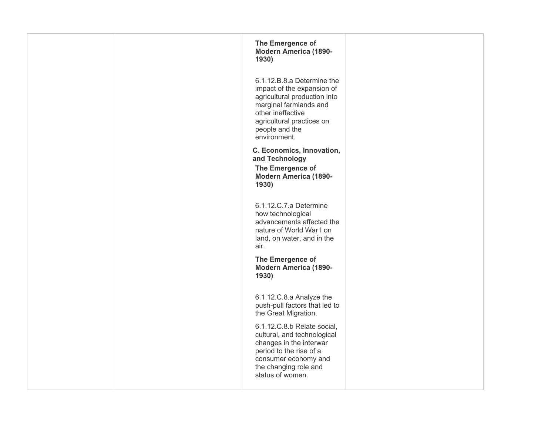| The Emergence of<br><b>Modern America (1890-</b><br>1930)                                                                                                                                              |  |
|--------------------------------------------------------------------------------------------------------------------------------------------------------------------------------------------------------|--|
| 6.1.12.B.8.a Determine the<br>impact of the expansion of<br>agricultural production into<br>marginal farmlands and<br>other ineffective<br>agricultural practices on<br>people and the<br>environment. |  |
| C. Economics, Innovation,<br>and Technology<br>The Emergence of<br><b>Modern America (1890-</b><br>1930)                                                                                               |  |
| 6.1.12.C.7.a Determine<br>how technological<br>advancements affected the<br>nature of World War I on<br>land, on water, and in the<br>air.                                                             |  |
| The Emergence of<br><b>Modern America (1890-</b><br>1930)                                                                                                                                              |  |
| 6.1.12.C.8.a Analyze the<br>push-pull factors that led to<br>the Great Migration.                                                                                                                      |  |
| 6.1.12.C.8.b Relate social,<br>cultural, and technological<br>changes in the interwar<br>period to the rise of a<br>consumer economy and<br>the changing role and<br>status of women.                  |  |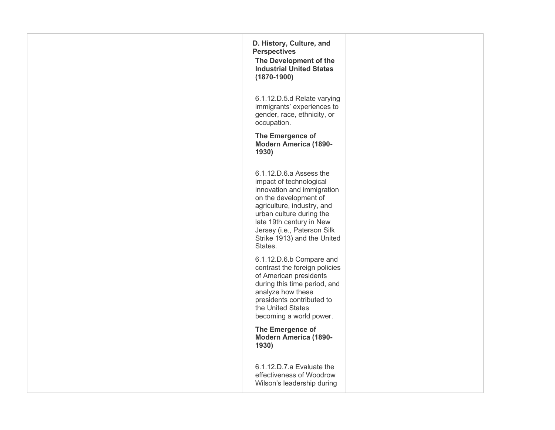| D. History, Culture, and<br><b>Perspectives</b><br>The Development of the<br><b>Industrial United States</b><br>$(1870 - 1900)$                                                                                                                                          |  |
|--------------------------------------------------------------------------------------------------------------------------------------------------------------------------------------------------------------------------------------------------------------------------|--|
| 6.1.12.D.5.d Relate varying<br>immigrants' experiences to<br>gender, race, ethnicity, or<br>occupation.                                                                                                                                                                  |  |
| The Emergence of<br><b>Modern America (1890-</b><br>1930)                                                                                                                                                                                                                |  |
| 6.1.12.D.6.a Assess the<br>impact of technological<br>innovation and immigration<br>on the development of<br>agriculture, industry, and<br>urban culture during the<br>late 19th century in New<br>Jersey (i.e., Paterson Silk<br>Strike 1913) and the United<br>States. |  |
| 6.1.12.D.6.b Compare and<br>contrast the foreign policies<br>of American presidents<br>during this time period, and<br>analyze how these<br>presidents contributed to<br>the United States<br>becoming a world power.                                                    |  |
| The Emergence of<br><b>Modern America (1890-</b><br>1930)                                                                                                                                                                                                                |  |
| 6.1.12.D.7.a Evaluate the<br>effectiveness of Woodrow<br>Wilson's leadership during                                                                                                                                                                                      |  |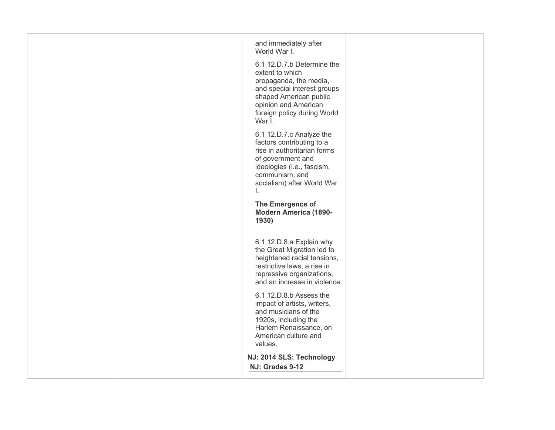| and immediately after                                                                                                                                                                             |  |
|---------------------------------------------------------------------------------------------------------------------------------------------------------------------------------------------------|--|
| World War I.                                                                                                                                                                                      |  |
| 6.1.12.D.7.b Determine the<br>extent to which<br>propaganda, the media,<br>and special interest groups<br>shaped American public<br>opinion and American<br>foreign policy during World<br>War I. |  |
| 6.1.12.D.7.c Analyze the<br>factors contributing to a<br>rise in authoritarian forms<br>of government and<br>ideologies (i.e., fascism,<br>communism, and<br>socialism) after World War<br>Τ.     |  |
| The Emergence of<br><b>Modern America (1890-</b><br>1930)                                                                                                                                         |  |
| 6.1.12.D.8.a Explain why<br>the Great Migration led to<br>heightened racial tensions,<br>restrictive laws, a rise in<br>repressive organizations,<br>and an increase in violence                  |  |
| 6.1.12.D.8.b Assess the<br>impact of artists, writers,<br>and musicians of the<br>1920s, including the<br>Harlem Renaissance, on<br>American culture and<br>values.                               |  |
| NJ: 2014 SLS: Technology<br>NJ: Grades 9-12                                                                                                                                                       |  |